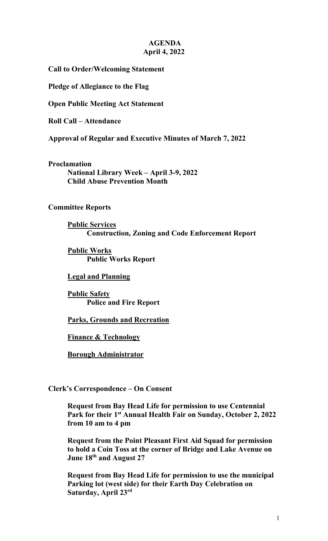## **AGENDA April 4, 2022**

**Call to Order/Welcoming Statement**

**Pledge of Allegiance to the Flag**

**Open Public Meeting Act Statement**

**Roll Call – Attendance**

**Approval of Regular and Executive Minutes of March 7, 2022**

**Proclamation National Library Week – April 3-9, 2022 Child Abuse Prevention Month**

### **Committee Reports**

**Public Services Construction, Zoning and Code Enforcement Report** 

**Public Works Public Works Report**

### **Legal and Planning**

**Public Safety Police and Fire Report** 

**Parks, Grounds and Recreation**

**Finance & Technology**

**Borough Administrator**

**Clerk's Correspondence – On Consent**

**Request from Bay Head Life for permission to use Centennial Park for their 1st Annual Health Fair on Sunday, October 2, 2022 from 10 am to 4 pm**

**Request from the Point Pleasant First Aid Squad for permission to hold a Coin Toss at the corner of Bridge and Lake Avenue on June 18th and August 27**

**Request from Bay Head Life for permission to use the municipal Parking lot (west side) for their Earth Day Celebration on Saturday, April 23rd**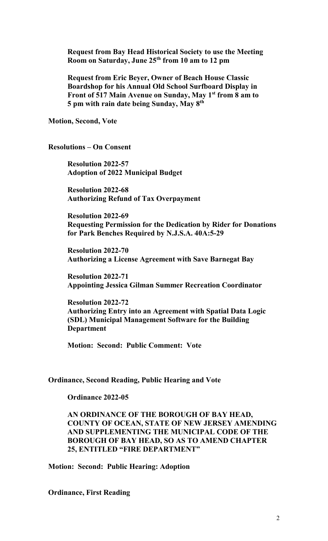**Request from Bay Head Historical Society to use the Meeting Room on Saturday, June 25th from 10 am to 12 pm** 

**Request from Eric Beyer, Owner of Beach House Classic Boardshop for his Annual Old School Surfboard Display in Front of 517 Main Avenue on Sunday, May 1st from 8 am to 5 pm with rain date being Sunday, May 8th**

**Motion, Second, Vote**

**Resolutions – On Consent**

**Resolution 2022-57 Adoption of 2022 Municipal Budget**

**Resolution 2022-68 Authorizing Refund of Tax Overpayment**

**Resolution 2022-69 Requesting Permission for the Dedication by Rider for Donations for Park Benches Required by N.J.S.A. 40A:5-29**

**Resolution 2022-70 Authorizing a License Agreement with Save Barnegat Bay**

**Resolution 2022-71 Appointing Jessica Gilman Summer Recreation Coordinator**

**Resolution 2022-72 Authorizing Entry into an Agreement with Spatial Data Logic (SDL) Municipal Management Software for the Building Department**

**Motion: Second: Public Comment: Vote**

#### **Ordinance, Second Reading, Public Hearing and Vote**

**Ordinance 2022-05**

## **AN ORDINANCE OF THE BOROUGH OF BAY HEAD, COUNTY OF OCEAN, STATE OF NEW JERSEY AMENDING AND SUPPLEMENTING THE MUNICIPAL CODE OF THE BOROUGH OF BAY HEAD, SO AS TO AMEND CHAPTER 25, ENTITLED "FIRE DEPARTMENT"**

**Motion: Second: Public Hearing: Adoption**

**Ordinance, First Reading**